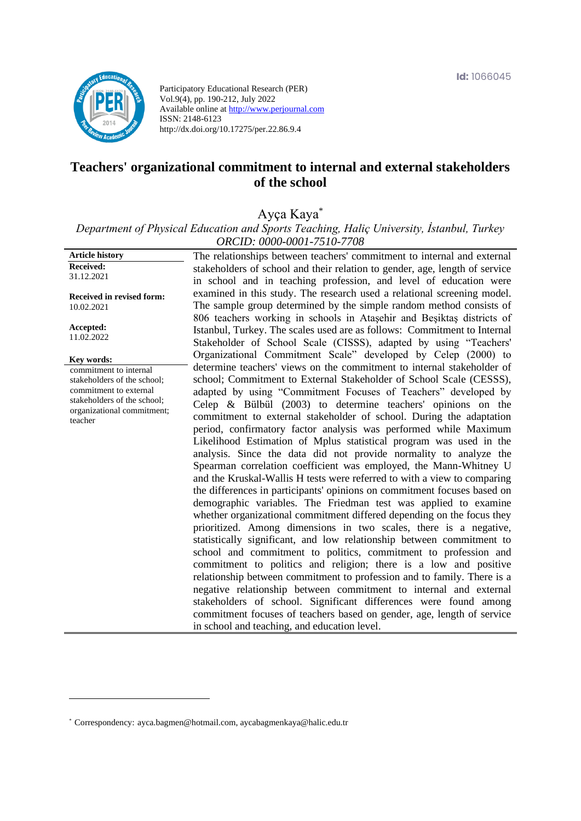

Participatory Educational Research (PER) Vol.9(4), pp. 190-212, July 2022 Available online at http://www.perjournal.com ISSN: 2148-6123 http://dx.doi.org/10.17275/per.22.86.9.4

# **Teachers' organizational commitment to internal and external stakeholders of the school**

Ayça Kaya\*

*Department of Physical Education and Sports Teaching, Haliç University, İstanbul, Turkey ORCID: 0000-0001-7510-7708*

**Article history Received:**  31.12.2021 **Received in revised form:**  10.02.2021 **Accepted:** 11.02.2022 The relationships between teachers' commitment to internal and external stakeholders of school and their relation to gender, age, length of service in school and in teaching profession, and level of education were examined in this study. The research used a relational screening model. The sample group determined by the simple random method consists of 806 teachers working in schools in Ataşehir and Beşiktaş districts of Istanbul, Turkey. The scales used are as follows: Commitment to Internal Stakeholder of School Scale (CISSS), adapted by using "Teachers' Organizational Commitment Scale" developed by Celep (2000) to determine teachers' views on the commitment to internal stakeholder of school; Commitment to External Stakeholder of School Scale (CESSS), adapted by using "Commitment Focuses of Teachers" developed by Celep & Bülbül (2003) to determine teachers' opinions on the commitment to external stakeholder of school. During the adaptation period, confirmatory factor analysis was performed while Maximum Likelihood Estimation of Mplus statistical program was used in the analysis. Since the data did not provide normality to analyze the Spearman correlation coefficient was employed, the Mann-Whitney U and the Kruskal-Wallis H tests were referred to with a view to comparing the differences in participants' opinions on commitment focuses based on demographic variables. The Friedman test was applied to examine whether organizational commitment differed depending on the focus they prioritized. Among dimensions in two scales, there is a negative, statistically significant, and low relationship between commitment to school and commitment to politics, commitment to profession and commitment to politics and religion; there is a low and positive relationship between commitment to profession and to family. There is a negative relationship between commitment to internal and external stakeholders of school. Significant differences were found among commitment focuses of teachers based on gender, age, length of service in school and teaching, and education level. **Key words:** commitment to internal stakeholders of the school; commitment to external stakeholders of the school; organizational commitment; teacher

<sup>\*</sup> [Correspondency:](mailto:Correspondency:) ayca.bagmen@hotmail.com, aycabagmenkaya@halic.edu.tr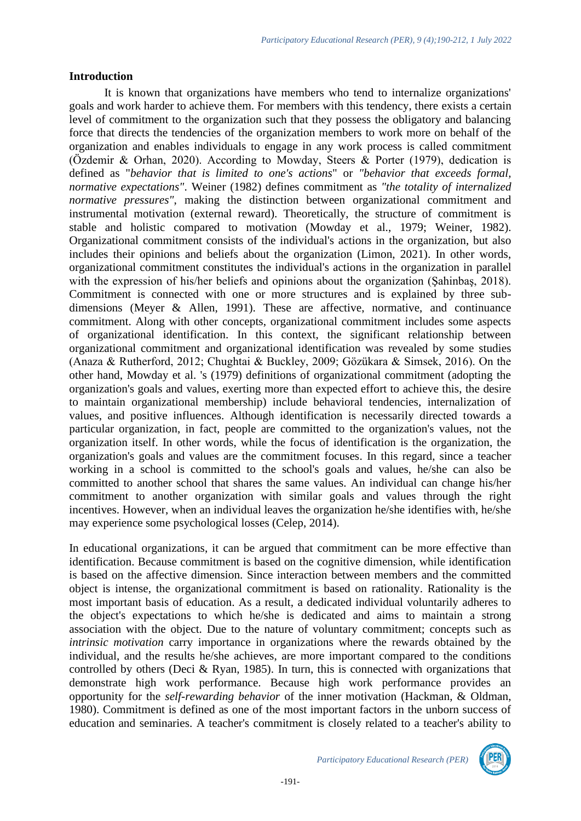#### **Introduction**

It is known that organizations have members who tend to internalize organizations' goals and work harder to achieve them. For members with this tendency, there exists a certain level of commitment to the organization such that they possess the obligatory and balancing force that directs the tendencies of the organization members to work more on behalf of the organization and enables individuals to engage in any work process is called commitment (Özdemir & Orhan, 2020). According to Mowday, Steers & Porter (1979), dedication is defined as "*behavior that is limited to one's actions*" or *"behavior that exceeds formal, normative expectations"*. Weiner (1982) defines commitment as *"the totality of internalized normative pressures"*, making the distinction between organizational commitment and instrumental motivation (external reward). Theoretically, the structure of commitment is stable and holistic compared to motivation (Mowday et al., 1979; Weiner, 1982). Organizational commitment consists of the individual's actions in the organization, but also includes their opinions and beliefs about the organization (Limon, 2021). In other words, organizational commitment constitutes the individual's actions in the organization in parallel with the expression of his/her beliefs and opinions about the organization (Şahinbaş, 2018). Commitment is connected with one or more structures and is explained by three subdimensions (Meyer & Allen, 1991). These are affective, normative, and continuance commitment. Along with other concepts, organizational commitment includes some aspects of organizational identification. In this context, the significant relationship between organizational commitment and organizational identification was revealed by some studies (Anaza & Rutherford, 2012; Chughtai & Buckley, 2009; Gözükara & Simsek, 2016). On the other hand, Mowday et al. 's (1979) definitions of organizational commitment (adopting the organization's goals and values, exerting more than expected effort to achieve this, the desire to maintain organizational membership) include behavioral tendencies, internalization of values, and positive influences. Although identification is necessarily directed towards a particular organization, in fact, people are committed to the organization's values, not the organization itself. In other words, while the focus of identification is the organization, the organization's goals and values are the commitment focuses. In this regard, since a teacher working in a school is committed to the school's goals and values, he/she can also be committed to another school that shares the same values. An individual can change his/her commitment to another organization with similar goals and values through the right incentives. However, when an individual leaves the organization he/she identifies with, he/she may experience some psychological losses (Celep, 2014).

In educational organizations, it can be argued that commitment can be more effective than identification. Because commitment is based on the cognitive dimension, while identification is based on the affective dimension. Since interaction between members and the committed object is intense, the organizational commitment is based on rationality. Rationality is the most important basis of education. As a result, a dedicated individual voluntarily adheres to the object's expectations to which he/she is dedicated and aims to maintain a strong association with the object. Due to the nature of voluntary commitment; concepts such as *intrinsic motivation* carry importance in organizations where the rewards obtained by the individual, and the results he/she achieves, are more important compared to the conditions controlled by others (Deci & Ryan, 1985). In turn, this is connected with organizations that demonstrate high work performance. Because high work performance provides an opportunity for the *self-rewarding behavior* of the inner motivation (Hackman, & Oldman, 1980). Commitment is defined as one of the most important factors in the unborn success of education and seminaries. A teacher's commitment is closely related to a teacher's ability to

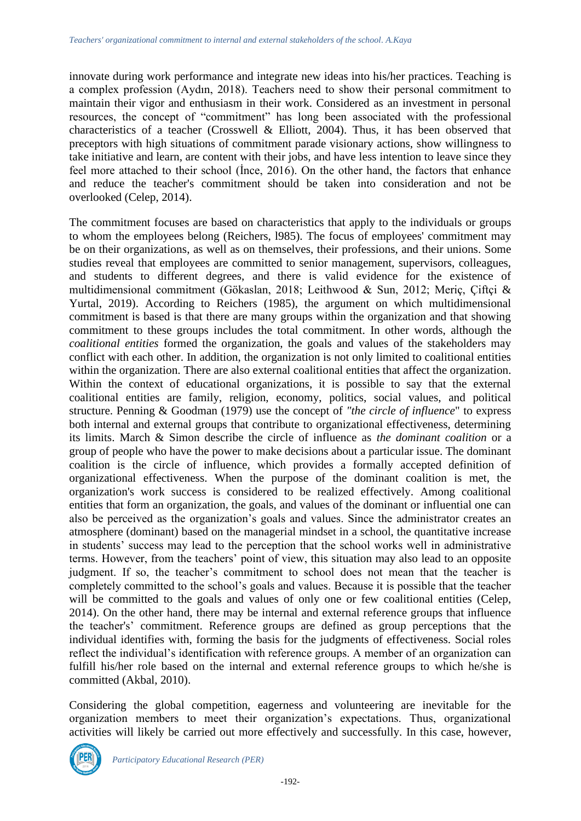innovate during work performance and integrate new ideas into his/her practices. Teaching is a complex profession (Aydın, 2018). Teachers need to show their personal commitment to maintain their vigor and enthusiasm in their work. Considered as an investment in personal resources, the concept of "commitment" has long been associated with the professional characteristics of a teacher (Crosswell & Elliott, 2004). Thus, it has been observed that preceptors with high situations of commitment parade visionary actions, show willingness to take initiative and learn, are content with their jobs, and have less intention to leave since they feel more attached to their school (İnce, 2016). On the other hand, the factors that enhance and reduce the teacher's commitment should be taken into consideration and not be overlooked (Celep, 2014).

The commitment focuses are based on characteristics that apply to the individuals or groups to whom the employees belong (Reichers, l985). The focus of employees' commitment may be on their organizations, as well as on themselves, their professions, and their unions. Some studies reveal that employees are committed to senior management, supervisors, colleagues, and students to different degrees, and there is valid evidence for the existence of multidimensional commitment (Gökaslan, 2018; Leithwood & Sun, 2012; Meriç, Çiftçi & Yurtal, 2019). According to Reichers (1985), the argument on which multidimensional commitment is based is that there are many groups within the organization and that showing commitment to these groups includes the total commitment. In other words, although the *coalitional entities* formed the organization, the goals and values of the stakeholders may conflict with each other. In addition, the organization is not only limited to coalitional entities within the organization. There are also external coalitional entities that affect the organization. Within the context of educational organizations, it is possible to say that the external coalitional entities are family, religion, economy, politics, social values, and political structure. Penning & Goodman (1979) use the concept of *"the circle of influence*" to express both internal and external groups that contribute to organizational effectiveness, determining its limits. March & Simon describe the circle of influence as *the dominant coalition* or a group of people who have the power to make decisions about a particular issue. The dominant coalition is the circle of influence, which provides a formally accepted definition of organizational effectiveness. When the purpose of the dominant coalition is met, the organization's work success is considered to be realized effectively. Among coalitional entities that form an organization, the goals, and values of the dominant or influential one can also be perceived as the organization's goals and values. Since the administrator creates an atmosphere (dominant) based on the managerial mindset in a school, the quantitative increase in students' success may lead to the perception that the school works well in administrative terms. However, from the teachers' point of view, this situation may also lead to an opposite judgment. If so, the teacher's commitment to school does not mean that the teacher is completely committed to the school's goals and values. Because it is possible that the teacher will be committed to the goals and values of only one or few coalitional entities (Celep, 2014). On the other hand, there may be internal and external reference groups that influence the teacher's' commitment. Reference groups are defined as group perceptions that the individual identifies with, forming the basis for the judgments of effectiveness. Social roles reflect the individual's identification with reference groups. A member of an organization can fulfill his/her role based on the internal and external reference groups to which he/she is committed (Akbal, 2010).

Considering the global competition, eagerness and volunteering are inevitable for the organization members to meet their organization's expectations. Thus, organizational activities will likely be carried out more effectively and successfully. In this case, however,

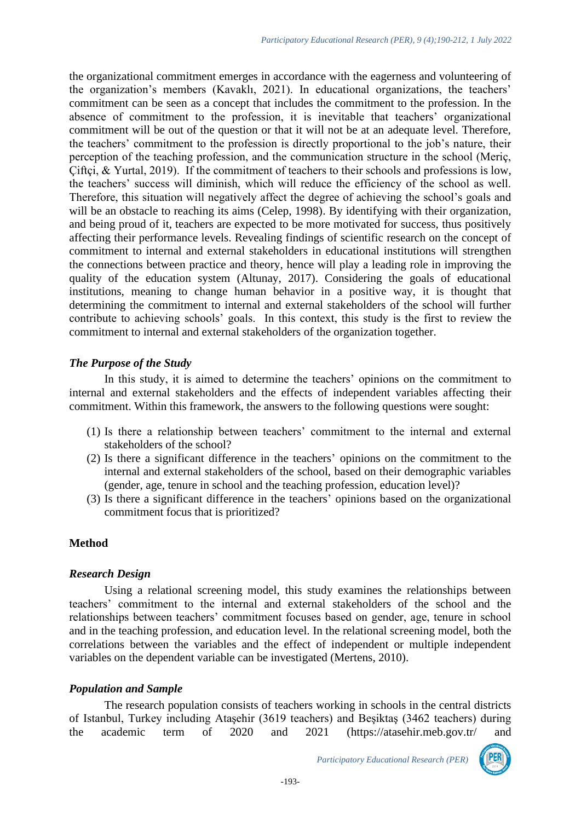the organizational commitment emerges in accordance with the eagerness and volunteering of the organization's members (Kavaklı, 2021). In educational organizations, the teachers' commitment can be seen as a concept that includes the commitment to the profession. In the absence of commitment to the profession, it is inevitable that teachers' organizational commitment will be out of the question or that it will not be at an adequate level. Therefore, the teachers' commitment to the profession is directly proportional to the job's nature, their perception of the teaching profession, and the communication structure in the school (Meriç, Çiftçi, & Yurtal, 2019). If the commitment of teachers to their schools and professions is low, the teachers' success will diminish, which will reduce the efficiency of the school as well. Therefore, this situation will negatively affect the degree of achieving the school's goals and will be an obstacle to reaching its aims (Celep, 1998). By identifying with their organization, and being proud of it, teachers are expected to be more motivated for success, thus positively affecting their performance levels. Revealing findings of scientific research on the concept of commitment to internal and external stakeholders in educational institutions will strengthen the connections between practice and theory, hence will play a leading role in improving the quality of the education system (Altunay, 2017). Considering the goals of educational institutions, meaning to change human behavior in a positive way, it is thought that determining the commitment to internal and external stakeholders of the school will further contribute to achieving schools' goals. In this context, this study is the first to review the commitment to internal and external stakeholders of the organization together.

#### *The Purpose of the Study*

In this study, it is aimed to determine the teachers' opinions on the commitment to internal and external stakeholders and the effects of independent variables affecting their commitment. Within this framework, the answers to the following questions were sought:

- (1) Is there a relationship between teachers' commitment to the internal and external stakeholders of the school?
- (2) Is there a significant difference in the teachers' opinions on the commitment to the internal and external stakeholders of the school, based on their demographic variables (gender, age, tenure in school and the teaching profession, education level)?
- (3) Is there a significant difference in the teachers' opinions based on the organizational commitment focus that is prioritized?

### **Method**

### *Research Design*

Using a relational screening model, this study examines the relationships between teachers' commitment to the internal and external stakeholders of the school and the relationships between teachers' commitment focuses based on gender, age, tenure in school and in the teaching profession, and education level. In the relational screening model, both the correlations between the variables and the effect of independent or multiple independent variables on the dependent variable can be investigated (Mertens, 2010).

### *Population and Sample*

The research population consists of teachers working in schools in the central districts of Istanbul, Turkey including Ataşehir (3619 teachers) and Beşiktaş (3462 teachers) during the academic term of 2020 and 2021 [\(https://atasehir.meb.gov.tr/](https://atasehir.meb.gov.tr/) and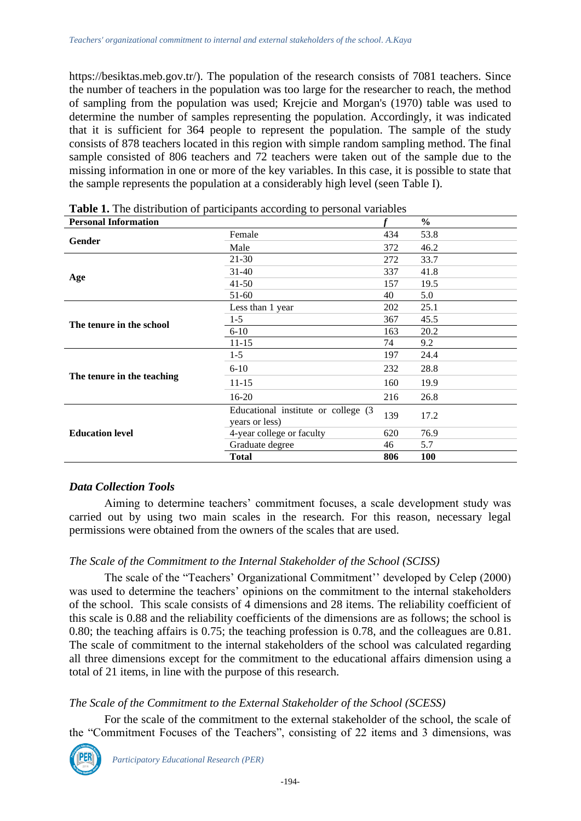[https://besiktas.meb.gov.tr/\)](https://besiktas.meb.gov.tr/). The population of the research consists of 7081 teachers. Since the number of teachers in the population was too large for the researcher to reach, the method of sampling from the population was used; Krejcie and Morgan's (1970) table was used to determine the number of samples representing the population. Accordingly, it was indicated that it is sufficient for 364 people to represent the population. The sample of the study consists of 878 teachers located in this region with simple random sampling method. The final sample consisted of 806 teachers and 72 teachers were taken out of the sample due to the missing information in one or more of the key variables. In this case, it is possible to state that the sample represents the population at a considerably high level (seen Table I).

| The ensure was in the permitted as<br><b>Personal Information</b> | $\cdots$                                              |     | $\frac{6}{6}$ |
|-------------------------------------------------------------------|-------------------------------------------------------|-----|---------------|
|                                                                   | Female                                                | 434 | 53.8          |
| Gender                                                            | Male                                                  | 372 | 46.2          |
|                                                                   | $21 - 30$                                             | 272 | 33.7          |
|                                                                   | $31 - 40$                                             | 337 | 41.8          |
| Age                                                               | $41 - 50$                                             | 157 | 19.5          |
|                                                                   | 51-60                                                 | 40  | 5.0           |
|                                                                   | Less than 1 year                                      | 202 | 25.1          |
| The tenure in the school                                          | 367<br>$1-5$                                          |     | 45.5          |
|                                                                   | $6 - 10$                                              | 163 | 20.2          |
|                                                                   | $11 - 15$                                             | 74  | 9.2           |
|                                                                   | $1 - 5$                                               |     | 24.4          |
|                                                                   | $6 - 10$                                              | 232 | 28.8          |
| The tenure in the teaching                                        | $11 - 15$                                             | 160 | 19.9          |
|                                                                   | $16-20$                                               |     | 26.8          |
|                                                                   | Educational institute or college (3<br>years or less) | 139 | 17.2          |
| <b>Education level</b>                                            | 4-year college or faculty                             |     | 76.9          |
|                                                                   | Graduate degree                                       | 46  | 5.7           |
|                                                                   | <b>Total</b>                                          | 806 | <b>100</b>    |

**Table 1.** The distribution of participants according to personal variables

## *Data Collection Tools*

Aiming to determine teachers' commitment focuses, a scale development study was carried out by using two main scales in the research. For this reason, necessary legal permissions were obtained from the owners of the scales that are used.

### *The Scale of the Commitment to the Internal Stakeholder of the School (SCISS)*

The scale of the "Teachers' Organizational Commitment'' developed by Celep (2000) was used to determine the teachers' opinions on the commitment to the internal stakeholders of the school. This scale consists of 4 dimensions and 28 items. The reliability coefficient of this scale is 0.88 and the reliability coefficients of the dimensions are as follows; the school is 0.80; the teaching affairs is 0.75; the teaching profession is 0.78, and the colleagues are 0.81. The scale of commitment to the internal stakeholders of the school was calculated regarding all three dimensions except for the commitment to the educational affairs dimension using a total of 21 items, in line with the purpose of this research.

### *The Scale of the Commitment to the External Stakeholder of the School (SCESS)*

For the scale of the commitment to the external stakeholder of the school, the scale of the "Commitment Focuses of the Teachers", consisting of 22 items and 3 dimensions, was

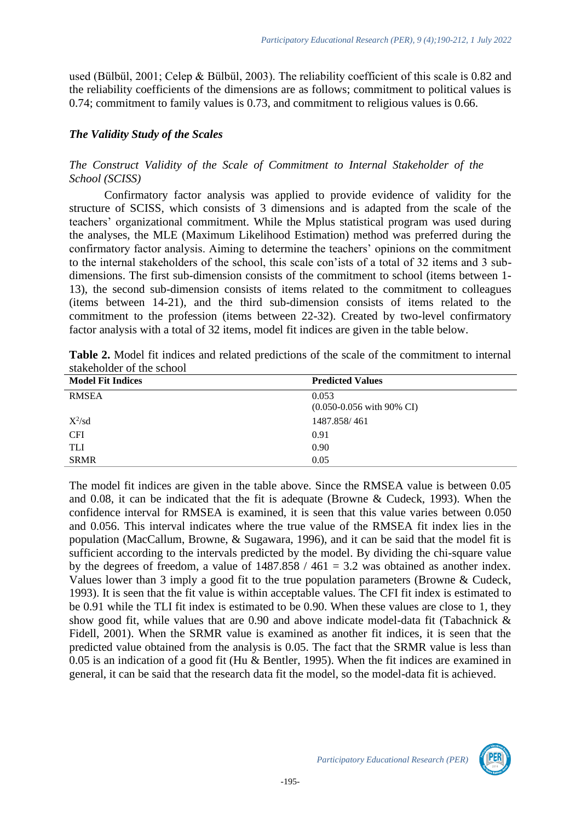used (Bülbül, 2001; Celep & Bülbül, 2003). The reliability coefficient of this scale is 0.82 and the reliability coefficients of the dimensions are as follows; commitment to political values is 0.74; commitment to family values is 0.73, and commitment to religious values is 0.66.

### *The Validity Study of the Scales*

### *The Construct Validity of the Scale of Commitment to Internal Stakeholder of the School (SCISS)*

Confirmatory factor analysis was applied to provide evidence of validity for the structure of SCISS, which consists of 3 dimensions and is adapted from the scale of the teachers' organizational commitment. While the Mplus statistical program was used during the analyses, the MLE (Maximum Likelihood Estimation) method was preferred during the confirmatory factor analysis. Aiming to determine the teachers' opinions on the commitment to the internal stakeholders of the school, this scale con'ists of a total of 32 items and 3 subdimensions. The first sub-dimension consists of the commitment to school (items between 1- 13), the second sub-dimension consists of items related to the commitment to colleagues (items between 14-21), and the third sub-dimension consists of items related to the commitment to the profession (items between 22-32). Created by two-level confirmatory factor analysis with a total of 32 items, model fit indices are given in the table below.

| Table 2. Model fit indices and related predictions of the scale of the commitment to internal |  |  |  |
|-----------------------------------------------------------------------------------------------|--|--|--|
| stakeholder of the school                                                                     |  |  |  |

| <b>Model Fit Indices</b> | <b>Predicted Values</b>                         |
|--------------------------|-------------------------------------------------|
| <b>RMSEA</b>             | 0.053                                           |
|                          | $(0.050 - 0.056 \text{ with } 90\% \text{ CI})$ |
| $X^2$ /sd                | 1487.858/461                                    |
| <b>CFI</b>               | 0.91                                            |
| <b>TLI</b>               | 0.90                                            |
| <b>SRMR</b>              | 0.05                                            |

The model fit indices are given in the table above. Since the RMSEA value is between 0.05 and 0.08, it can be indicated that the fit is adequate (Browne & Cudeck, 1993). When the confidence interval for RMSEA is examined, it is seen that this value varies between 0.050 and 0.056. This interval indicates where the true value of the RMSEA fit index lies in the population (MacCallum, Browne, & Sugawara, 1996), and it can be said that the model fit is sufficient according to the intervals predicted by the model. By dividing the chi-square value by the degrees of freedom, a value of  $1487.858 / 461 = 3.2$  was obtained as another index. Values lower than 3 imply a good fit to the true population parameters (Browne & Cudeck, 1993). It is seen that the fit value is within acceptable values. The CFI fit index is estimated to be 0.91 while the TLI fit index is estimated to be 0.90. When these values are close to 1, they show good fit, while values that are 0.90 and above indicate model-data fit (Tabachnick & Fidell, 2001). When the SRMR value is examined as another fit indices, it is seen that the predicted value obtained from the analysis is 0.05. The fact that the SRMR value is less than 0.05 is an indication of a good fit (Hu & Bentler, 1995). When the fit indices are examined in general, it can be said that the research data fit the model, so the model-data fit is achieved.

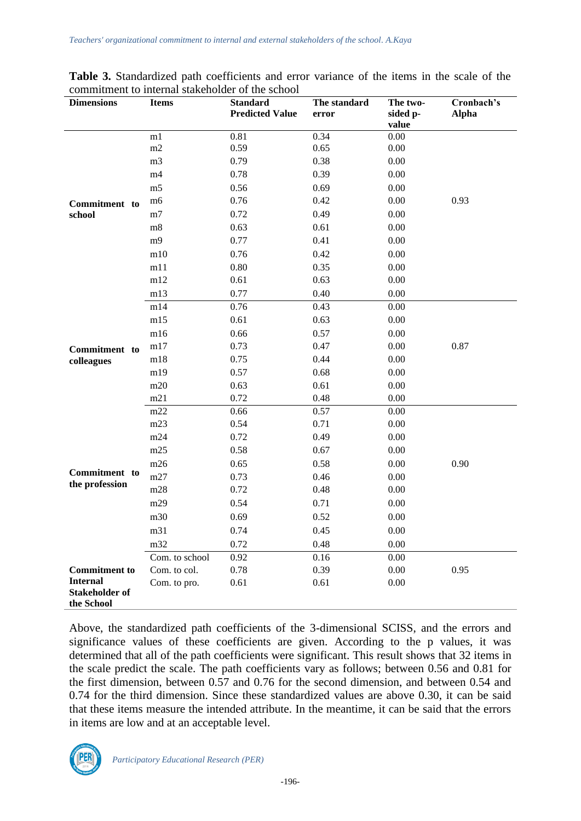| <b>Dimensions</b>                   | <b>Items</b>   | <b>Standard</b>        | The standard | The two- | Cronbach's   |
|-------------------------------------|----------------|------------------------|--------------|----------|--------------|
|                                     |                | <b>Predicted Value</b> | error        | sided p- | <b>Alpha</b> |
|                                     |                |                        |              | value    |              |
|                                     | m1<br>$\rm m2$ | 0.81<br>0.59           | 0.34         | $0.00\,$ |              |
|                                     |                |                        | 0.65         | $0.00\,$ |              |
|                                     | m <sub>3</sub> | 0.79                   | 0.38         | 0.00     |              |
|                                     | m <sub>4</sub> | 0.78                   | 0.39         | 0.00     |              |
|                                     | m <sub>5</sub> | 0.56                   | 0.69         | 0.00     |              |
| Commitment to                       | m6             | 0.76                   | 0.42         | 0.00     | 0.93         |
| school                              | m7             | 0.72                   | 0.49         | 0.00     |              |
|                                     | m8             | 0.63                   | 0.61         | 0.00     |              |
|                                     | m <sub>9</sub> | 0.77                   | 0.41         | 0.00     |              |
|                                     | m10            | 0.76                   | 0.42         | $0.00\,$ |              |
|                                     | m11            | 0.80                   | 0.35         | 0.00     |              |
|                                     | m12            | 0.61                   | 0.63         | 0.00     |              |
|                                     | m13            | 0.77                   | 0.40         | $0.00\,$ |              |
|                                     | m14            | 0.76                   | 0.43         | 0.00     |              |
|                                     | m15            | 0.61                   | 0.63         | 0.00     |              |
|                                     | m16            | 0.66                   | 0.57         | $0.00\,$ |              |
| Commitment to                       | m17            | 0.73                   | 0.47         | $0.00\,$ | 0.87         |
| colleagues                          | m18            | 0.75                   | 0.44         | 0.00     |              |
|                                     | m19            | 0.57                   | 0.68         | 0.00     |              |
|                                     | m20            | 0.63                   | 0.61         | $0.00\,$ |              |
|                                     | m21            | 0.72                   | 0.48         | 0.00     |              |
|                                     | m22            | 0.66                   | 0.57         | 0.00     |              |
|                                     | m23            | 0.54                   | 0.71         | 0.00     |              |
|                                     | m24            | 0.72                   | 0.49         | 0.00     |              |
|                                     | m25            | 0.58                   | 0.67         | 0.00     |              |
|                                     | m26            | 0.65                   | 0.58         | $0.00\,$ | 0.90         |
| Commitment to                       | m27            | 0.73                   | 0.46         | 0.00     |              |
| the profession                      | m28            | 0.72                   | 0.48         | 0.00     |              |
|                                     | m29            | 0.54                   | 0.71         | 0.00     |              |
|                                     | m30            | 0.69                   | 0.52         | $0.00\,$ |              |
|                                     | m31            | 0.74                   | 0.45         | 0.00     |              |
|                                     | m32            | 0.72                   | 0.48         | 0.00     |              |
|                                     | Com. to school | 0.92                   | 0.16         | $0.00\,$ |              |
| <b>Commitment</b> to                | Com. to col.   | 0.78                   | 0.39         | 0.00     | 0.95         |
| <b>Internal</b>                     | Com. to pro.   | 0.61                   | 0.61         | 0.00     |              |
| <b>Stakeholder of</b><br>the School |                |                        |              |          |              |

**Table 3.** Standardized path coefficients and error variance of the items in the scale of the commitment to internal stakeholder of the school

Above, the standardized path coefficients of the 3-dimensional SCISS, and the errors and significance values of these coefficients are given. According to the p values, it was determined that all of the path coefficients were significant. This result shows that 32 items in the scale predict the scale. The path coefficients vary as follows; between 0.56 and 0.81 for the first dimension, between 0.57 and 0.76 for the second dimension, and between 0.54 and 0.74 for the third dimension. Since these standardized values are above 0.30, it can be said that these items measure the intended attribute. In the meantime, it can be said that the errors in items are low and at an acceptable level.

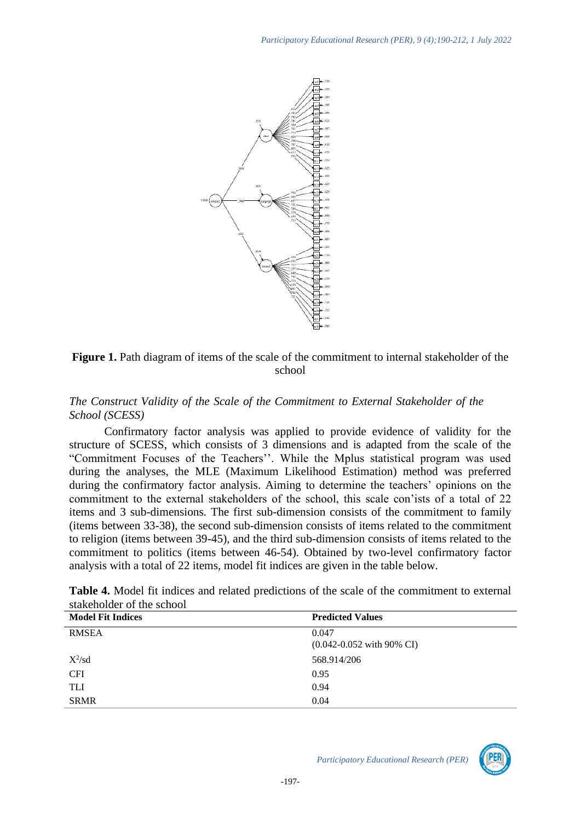

Figure 1. Path diagram of items of the scale of the commitment to internal stakeholder of the school

#### *The Construct Validity of the Scale of the Commitment to External Stakeholder of the School (SCESS)*

Confirmatory factor analysis was applied to provide evidence of validity for the structure of SCESS, which consists of 3 dimensions and is adapted from the scale of the "Commitment Focuses of the Teachers''. While the Mplus statistical program was used during the analyses, the MLE (Maximum Likelihood Estimation) method was preferred during the confirmatory factor analysis. Aiming to determine the teachers' opinions on the commitment to the external stakeholders of the school, this scale con'ists of a total of 22 items and 3 sub-dimensions. The first sub-dimension consists of the commitment to family (items between 33-38), the second sub-dimension consists of items related to the commitment to religion (items between 39-45), and the third sub-dimension consists of items related to the commitment to politics (items between 46-54). Obtained by two-level confirmatory factor analysis with a total of 22 items, model fit indices are given in the table below.

| stakeholder of the school |                                                 |
|---------------------------|-------------------------------------------------|
| <b>Model Fit Indices</b>  | <b>Predicted Values</b>                         |
| <b>RMSEA</b>              | 0.047                                           |
|                           | $(0.042 - 0.052 \text{ with } 90\% \text{ CI})$ |
| $X^2\text{/sd}$           | 568.914/206                                     |
| <b>CFI</b>                | 0.95                                            |
| TLI                       | 0.94                                            |
| <b>SRMR</b>               | 0.04                                            |

**Table 4.** Model fit indices and related predictions of the scale of the commitment to external  $stababola$ er of the school

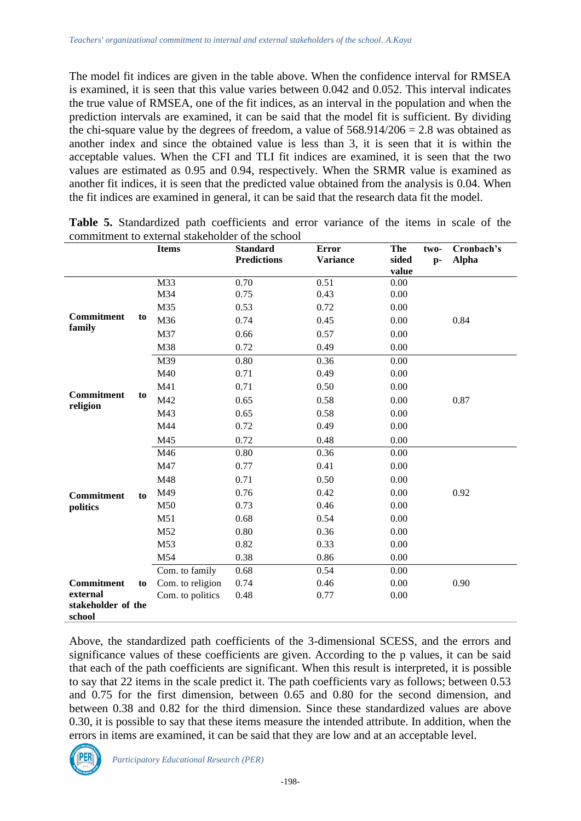The model fit indices are given in the table above. When the confidence interval for RMSEA is examined, it is seen that this value varies between 0.042 and 0.052. This interval indicates the true value of RMSEA, one of the fit indices, as an interval in the population and when the prediction intervals are examined, it can be said that the model fit is sufficient. By dividing the chi-square value by the degrees of freedom, a value of  $568.914/206 = 2.8$  was obtained as another index and since the obtained value is less than 3, it is seen that it is within the acceptable values. When the CFI and TLI fit indices are examined, it is seen that the two values are estimated as 0.95 and 0.94, respectively. When the SRMR value is examined as another fit indices, it is seen that the predicted value obtained from the analysis is 0.04. When the fit indices are examined in general, it can be said that the research data fit the model.

|                      |    | COMMUNICIN to CAternal Stakeholder of the school<br><b>Items</b> | <b>Standard</b>    | <b>Error</b>    | The<br>two-   | Cronbach's   |
|----------------------|----|------------------------------------------------------------------|--------------------|-----------------|---------------|--------------|
|                      |    |                                                                  | <b>Predictions</b> | <b>Variance</b> | sided<br>$p-$ | <b>Alpha</b> |
|                      |    |                                                                  |                    |                 | value         |              |
|                      |    | M33                                                              | 0.70               | 0.51            | 0.00          |              |
|                      |    | M34                                                              | 0.75               | 0.43            | 0.00          |              |
|                      |    | M35                                                              | 0.53               | 0.72            | 0.00          |              |
| Commitment<br>family | to | M36                                                              | 0.74               | 0.45            | 0.00          | 0.84         |
|                      |    | M37                                                              | 0.66               | 0.57            | 0.00          |              |
|                      |    | M38                                                              | 0.72               | 0.49            | 0.00          |              |
|                      |    | M39                                                              | 0.80               | 0.36            | 0.00          |              |
|                      |    | M40                                                              | 0.71               | 0.49            | 0.00          |              |
|                      |    | M41                                                              | 0.71               | 0.50            | 0.00          |              |
| <b>Commitment</b>    | to | M42                                                              | 0.65               | 0.58            | 0.00          | 0.87         |
| religion             |    | M43                                                              | 0.65               | 0.58            | 0.00          |              |
|                      |    | M44                                                              | 0.72               | 0.49            | 0.00          |              |
|                      |    | M45                                                              | 0.72               | 0.48            | 0.00          |              |
|                      |    | M46                                                              | 0.80               | 0.36            | 0.00          |              |
|                      |    | M47                                                              | 0.77               | 0.41            | 0.00          |              |
|                      |    | M48                                                              | 0.71               | 0.50            | 0.00          |              |
| <b>Commitment</b>    | to | M49                                                              | 0.76               | 0.42            | 0.00          | 0.92         |
| politics             |    | M50                                                              | 0.73               | 0.46            | 0.00          |              |
|                      |    | M51                                                              | 0.68               | 0.54            | 0.00          |              |
|                      |    | M52                                                              | 0.80               | 0.36            | 0.00          |              |
|                      |    | M53                                                              | 0.82               | 0.33            | 0.00          |              |
|                      |    | M54                                                              | 0.38               | 0.86            | 0.00          |              |
|                      |    | Com. to family                                                   | 0.68               | 0.54            | 0.00          |              |
| Commitment           | to | Com. to religion                                                 | 0.74               | 0.46            | 0.00          | 0.90         |
| external             |    | Com. to politics                                                 | 0.48               | 0.77            | 0.00          |              |
| stakeholder of the   |    |                                                                  |                    |                 |               |              |
| school               |    |                                                                  |                    |                 |               |              |

**Table 5.** Standardized path coefficients and error variance of the items in scale of the commitment to external stakeholder of the school

Above, the standardized path coefficients of the 3-dimensional SCESS, and the errors and significance values of these coefficients are given. According to the p values, it can be said that each of the path coefficients are significant. When this result is interpreted, it is possible to say that 22 items in the scale predict it. The path coefficients vary as follows; between 0.53 and 0.75 for the first dimension, between 0.65 and 0.80 for the second dimension, and between 0.38 and 0.82 for the third dimension. Since these standardized values are above 0.30, it is possible to say that these items measure the intended attribute. In addition, when the errors in items are examined, it can be said that they are low and at an acceptable level.

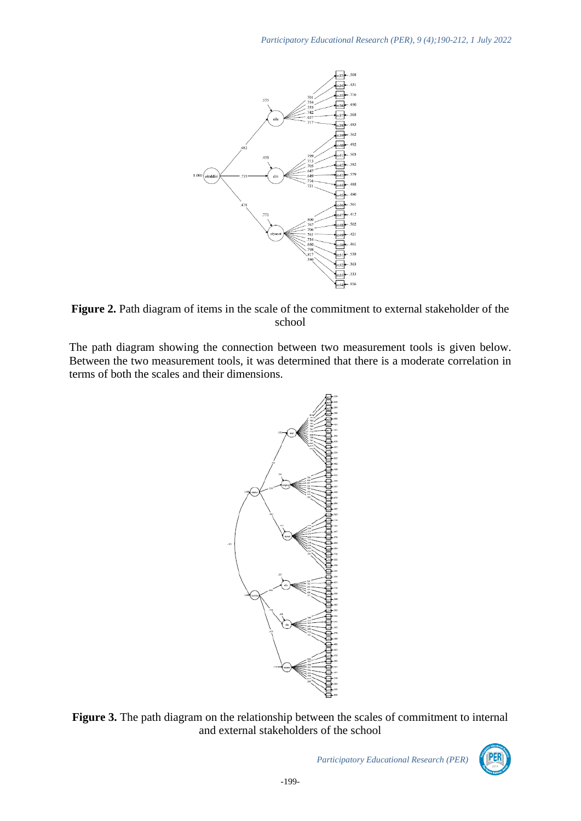

Figure 2. Path diagram of items in the scale of the commitment to external stakeholder of the school

The path diagram showing the connection between two measurement tools is given below. Between the two measurement tools, it was determined that there is a moderate correlation in terms of both the scales and their dimensions.



**Figure 3.** The path diagram on the relationship between the scales of commitment to internal and external stakeholders of the school

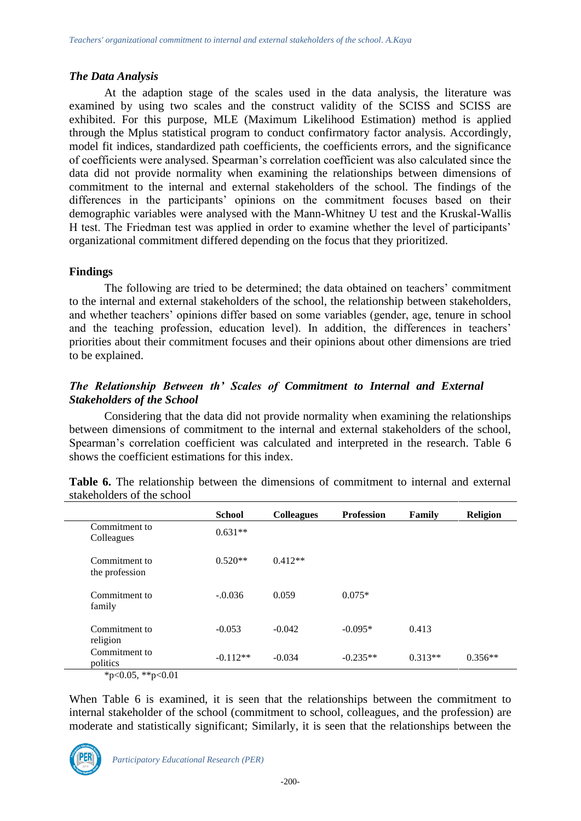### *The Data Analysis*

At the adaption stage of the scales used in the data analysis, the literature was examined by using two scales and the construct validity of the SCISS and SCISS are exhibited. For this purpose, MLE (Maximum Likelihood Estimation) method is applied through the Mplus statistical program to conduct confirmatory factor analysis. Accordingly, model fit indices, standardized path coefficients, the coefficients errors, and the significance of coefficients were analysed. Spearman's correlation coefficient was also calculated since the data did not provide normality when examining the relationships between dimensions of commitment to the internal and external stakeholders of the school. The findings of the differences in the participants' opinions on the commitment focuses based on their demographic variables were analysed with the Mann-Whitney U test and the Kruskal-Wallis H test. The Friedman test was applied in order to examine whether the level of participants' organizational commitment differed depending on the focus that they prioritized.

### **Findings**

The following are tried to be determined; the data obtained on teachers' commitment to the internal and external stakeholders of the school, the relationship between stakeholders, and whether teachers' opinions differ based on some variables (gender, age, tenure in school and the teaching profession, education level). In addition, the differences in teachers' priorities about their commitment focuses and their opinions about other dimensions are tried to be explained.

### *The Relationship Between th' Scales of Commitment to Internal and External Stakeholders of the School*

Considering that the data did not provide normality when examining the relationships between dimensions of commitment to the internal and external stakeholders of the school, Spearman's correlation coefficient was calculated and interpreted in the research. Table 6 shows the coefficient estimations for this index.

|                                          | <b>School</b> | <b>Colleagues</b> | <b>Profession</b> | Family    | <b>Religion</b> |
|------------------------------------------|---------------|-------------------|-------------------|-----------|-----------------|
| Commitment to<br>Colleagues              | $0.631**$     |                   |                   |           |                 |
| Commitment to<br>the profession          | $0.520**$     | $0.412**$         |                   |           |                 |
| Commitment to<br>family                  | $-.0.036$     | 0.059             | $0.075*$          |           |                 |
| Commitment to<br>religion                | $-0.053$      | $-0.042$          | $-0.095*$         | 0.413     |                 |
| Commitment to<br>politics<br>4.00544.001 | $-0.112**$    | $-0.034$          | $-0.235**$        | $0.313**$ | $0.356**$       |

**Table 6.** The relationship between the dimensions of commitment to internal and external stakeholders of the school

 $*p<0.05$ ,  $*p<0.01$ 

When Table 6 is examined, it is seen that the relationships between the commitment to internal stakeholder of the school (commitment to school, colleagues, and the profession) are moderate and statistically significant; Similarly, it is seen that the relationships between the

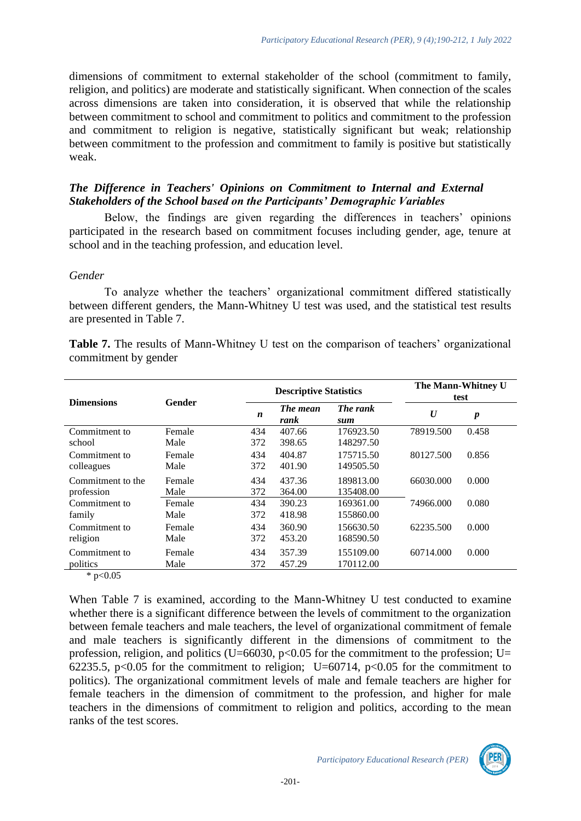dimensions of commitment to external stakeholder of the school (commitment to family, religion, and politics) are moderate and statistically significant. When connection of the scales across dimensions are taken into consideration, it is observed that while the relationship between commitment to school and commitment to politics and commitment to the profession and commitment to religion is negative, statistically significant but weak; relationship between commitment to the profession and commitment to family is positive but statistically weak.

### *The Difference in Teachers' Opinions on Commitment to Internal and External Stakeholders of the School based on the Participants' Demographic Variables*

Below, the findings are given regarding the differences in teachers' opinions participated in the research based on commitment focuses including gender, age, tenure at school and in the teaching profession, and education level.

#### *Gender*

To analyze whether the teachers' organizational commitment differed statistically between different genders, the Mann-Whitney U test was used, and the statistical test results are presented in Table 7.

**Table 7.** The results of Mann-Whitney U test on the comparison of teachers' organizational commitment by gender

|                                                                                                   |        |     | <b>Descriptive Statistics</b> | The Mann-Whitney U<br>test |                  |                  |
|---------------------------------------------------------------------------------------------------|--------|-----|-------------------------------|----------------------------|------------------|------------------|
| <b>Dimensions</b>                                                                                 | Gender | n   | The mean<br>rank              | The rank<br>sum            | $\boldsymbol{U}$ | $\boldsymbol{p}$ |
| Commitment to                                                                                     | Female | 434 | 407.66                        | 176923.50                  | 78919.500        | 0.458            |
| school                                                                                            | Male   | 372 | 398.65                        | 148297.50                  |                  |                  |
| Commitment to                                                                                     | Female | 434 | 404.87                        | 175715.50                  | 80127.500        | 0.856            |
| colleagues                                                                                        | Male   | 372 | 401.90                        | 149505.50                  |                  |                  |
| Commitment to the                                                                                 | Female | 434 | 437.36                        | 189813.00                  | 66030.000        | 0.000            |
| profession                                                                                        | Male   | 372 | 364.00                        | 135408.00                  |                  |                  |
| Commitment to                                                                                     | Female | 434 | 390.23                        | 169361.00                  | 74966.000        | 0.080            |
| family                                                                                            | Male   | 372 | 418.98                        | 155860.00                  |                  |                  |
| Commitment to                                                                                     | Female | 434 | 360.90                        | 156630.50                  | 62235.500        | 0.000            |
| religion                                                                                          | Male   | 372 | 453.20                        | 168590.50                  |                  |                  |
| Commitment to                                                                                     | Female | 434 | 357.39                        | 155109.00                  | 60714.000        | 0.000            |
| politics                                                                                          | Male   | 372 | 457.29                        | 170112.00                  |                  |                  |
| $\frac{1}{2}$ $\frac{1}{2}$ $\frac{1}{2}$ $\frac{1}{2}$ $\frac{1}{2}$ $\frac{1}{2}$ $\frac{1}{2}$ |        |     |                               |                            |                  |                  |

 $*$  p<0.05

When Table 7 is examined, according to the Mann-Whitney U test conducted to examine whether there is a significant difference between the levels of commitment to the organization between female teachers and male teachers, the level of organizational commitment of female and male teachers is significantly different in the dimensions of commitment to the profession, religion, and politics (U=66030, p<0.05 for the commitment to the profession; U= 62235.5,  $p<0.05$  for the commitment to religion; U=60714,  $p<0.05$  for the commitment to politics). The organizational commitment levels of male and female teachers are higher for female teachers in the dimension of commitment to the profession, and higher for male teachers in the dimensions of commitment to religion and politics, according to the mean ranks of the test scores.

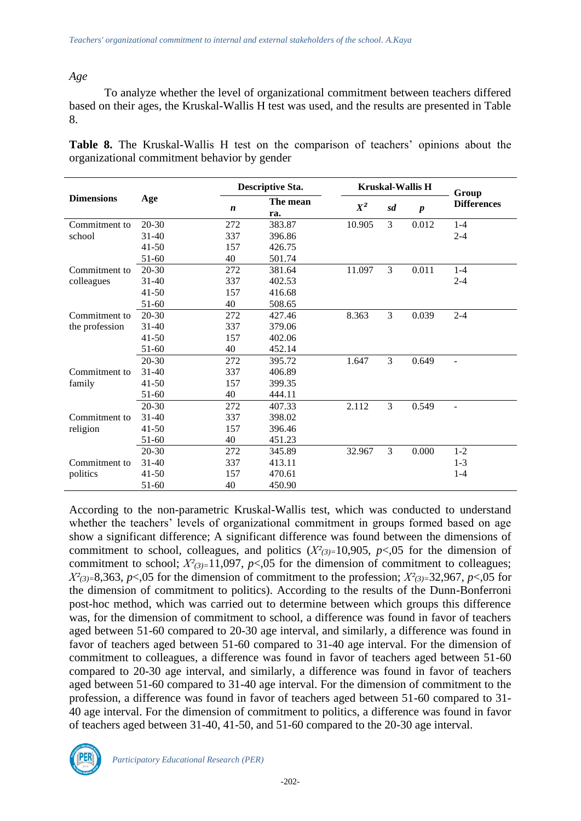#### *Age*

To analyze whether the level of organizational commitment between teachers differed based on their ages, the Kruskal-Wallis H test was used, and the results are presented in Table 8.

**Table 8.** The Kruskal-Wallis H test on the comparison of teachers' opinions about the organizational commitment behavior by gender

|                   |           | <b>Descriptive Sta.</b> |                 |        |    | <b>Kruskal-Wallis H</b> | Group                    |  |
|-------------------|-----------|-------------------------|-----------------|--------|----|-------------------------|--------------------------|--|
| <b>Dimensions</b> | Age       | n                       | The mean<br>ra. | $X^2$  | sd | $\boldsymbol{p}$        | <b>Differences</b>       |  |
| Commitment to     | $20 - 30$ | 272                     | 383.87          | 10.905 | 3  | 0.012                   | $1 - 4$                  |  |
| school            | $31 - 40$ | 337                     | 396.86          |        |    |                         | $2 - 4$                  |  |
|                   | $41 - 50$ | 157                     | 426.75          |        |    |                         |                          |  |
|                   | $51-60$   | 40                      | 501.74          |        |    |                         |                          |  |
| Commitment to     | $20 - 30$ | 272                     | 381.64          | 11.097 | 3  | 0.011                   | $1 - 4$                  |  |
| colleagues        | $31 - 40$ | 337                     | 402.53          |        |    |                         | $2 - 4$                  |  |
|                   | $41 - 50$ | 157                     | 416.68          |        |    |                         |                          |  |
|                   | $51-60$   | 40                      | 508.65          |        |    |                         |                          |  |
| Commitment to     | $20 - 30$ | 272                     | 427.46          | 8.363  | 3  | 0.039                   | $2 - 4$                  |  |
| the profession    | $31 - 40$ | 337                     | 379.06          |        |    |                         |                          |  |
|                   | $41 - 50$ | 157                     | 402.06          |        |    |                         |                          |  |
|                   | $51-60$   | 40                      | 452.14          |        |    |                         |                          |  |
|                   | $20 - 30$ | 272                     | 395.72          | 1.647  | 3  | 0.649                   | $\overline{\phantom{0}}$ |  |
| Commitment to     | $31 - 40$ | 337                     | 406.89          |        |    |                         |                          |  |
| family            | $41 - 50$ | 157                     | 399.35          |        |    |                         |                          |  |
|                   | 51-60     | 40                      | 444.11          |        |    |                         |                          |  |
|                   | $20 - 30$ | 272                     | 407.33          | 2.112  | 3  | 0.549                   | $\overline{\phantom{0}}$ |  |
| Commitment to     | $31 - 40$ | 337                     | 398.02          |        |    |                         |                          |  |
| religion          | $41 - 50$ | 157                     | 396.46          |        |    |                         |                          |  |
|                   | $51-60$   | 40                      | 451.23          |        |    |                         |                          |  |
|                   | $20 - 30$ | 272                     | 345.89          | 32.967 | 3  | 0.000                   | $1 - 2$                  |  |
| Commitment to     | $31 - 40$ | 337                     | 413.11          |        |    |                         | $1 - 3$                  |  |
| politics          | $41 - 50$ | 157                     | 470.61          |        |    |                         | $1 - 4$                  |  |
|                   | $51-60$   | 40                      | 450.90          |        |    |                         |                          |  |

According to the non-parametric Kruskal-Wallis test, which was conducted to understand whether the teachers' levels of organizational commitment in groups formed based on age show a significant difference; A significant difference was found between the dimensions of commitment to school, colleagues, and politics  $(X^2_{(3)=10,905}, p<0.05$  for the dimension of commitment to school;  $X^2_{(3)}=11,097$ ,  $p<0.05$  for the dimension of commitment to colleagues;  $X^2_{(3)=}8,363, p<0.05$  for the dimension of commitment to the profession;  $X^2_{(3)=}32,967, p<0.05$  for the dimension of commitment to politics). According to the results of the Dunn-Bonferroni post-hoc method, which was carried out to determine between which groups this difference was, for the dimension of commitment to school, a difference was found in favor of teachers aged between 51-60 compared to 20-30 age interval, and similarly, a difference was found in favor of teachers aged between 51-60 compared to 31-40 age interval. For the dimension of commitment to colleagues, a difference was found in favor of teachers aged between 51-60 compared to 20-30 age interval, and similarly, a difference was found in favor of teachers aged between 51-60 compared to 31-40 age interval. For the dimension of commitment to the profession, a difference was found in favor of teachers aged between 51-60 compared to 31- 40 age interval. For the dimension of commitment to politics, a difference was found in favor of teachers aged between 31-40, 41-50, and 51-60 compared to the 20-30 age interval.

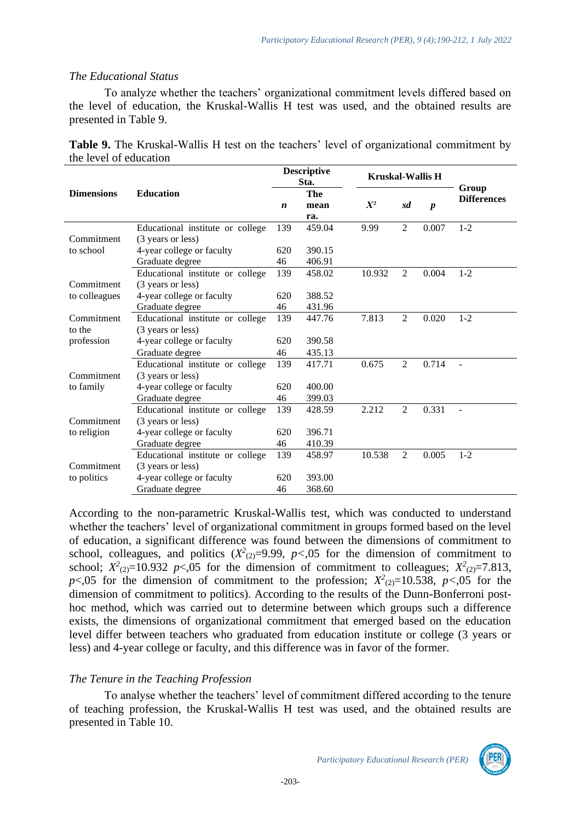#### *The Educational Status*

To analyze whether the teachers' organizational commitment levels differed based on the level of education, the Kruskal-Wallis H test was used, and the obtained results are presented in Table 9.

|                        |  |  | Table 9. The Kruskal-Wallis H test on the teachers' level of organizational commitment by |
|------------------------|--|--|-------------------------------------------------------------------------------------------|
| the level of education |  |  |                                                                                           |

|                   | <b>Education</b>                 |                  | <b>Descriptive</b><br>Sta. | <b>Kruskal-Wallis H</b> | Group          |                  |                    |
|-------------------|----------------------------------|------------------|----------------------------|-------------------------|----------------|------------------|--------------------|
| <b>Dimensions</b> |                                  |                  | The                        |                         |                |                  | <b>Differences</b> |
|                   |                                  | $\boldsymbol{n}$ | mean                       | $X^2$                   | sd             | $\boldsymbol{p}$ |                    |
|                   |                                  |                  | ra.                        |                         |                |                  |                    |
|                   | Educational institute or college | 139              | 459.04                     | 9.99                    | $\overline{c}$ | 0.007            | $1 - 2$            |
| Commitment        | (3 years or less)                |                  |                            |                         |                |                  |                    |
| to school         | 4-year college or faculty        | 620              | 390.15                     |                         |                |                  |                    |
|                   | Graduate degree                  | 46               | 406.91                     |                         |                |                  |                    |
|                   | Educational institute or college | 139              | 458.02                     | 10.932                  | $\overline{2}$ | 0.004            | $1 - 2$            |
| Commitment        | (3 years or less)                |                  |                            |                         |                |                  |                    |
| to colleagues     | 4-year college or faculty        | 620              | 388.52                     |                         |                |                  |                    |
|                   | Graduate degree                  |                  | 431.96                     |                         |                |                  |                    |
| Commitment        | Educational institute or college | 139              | 447.76                     | 7.813                   | $\overline{2}$ | 0.020            | $1 - 2$            |
| to the            | (3 years or less)                |                  |                            |                         |                |                  |                    |
| profession        | 4-year college or faculty        | 620              | 390.58                     |                         |                |                  |                    |
|                   | Graduate degree                  | 46               | 435.13                     |                         |                |                  |                    |
|                   | Educational institute or college | 139              | 417.71                     | 0.675                   | $\overline{2}$ | 0.714            | $\overline{a}$     |
| Commitment        | (3 years or less)                |                  |                            |                         |                |                  |                    |
| to family         | 4-year college or faculty        | 620              | 400.00                     |                         |                |                  |                    |
|                   | Graduate degree                  | 46               | 399.03                     |                         |                |                  |                    |
|                   | Educational institute or college | 139              | 428.59                     | 2.212                   | $\overline{2}$ | 0.331            |                    |
| Commitment        | (3 years or less)                |                  |                            |                         |                |                  |                    |
| to religion       | 4-year college or faculty        |                  | 396.71                     |                         |                |                  |                    |
|                   | Graduate degree                  | 46               | 410.39                     |                         |                |                  |                    |
|                   | Educational institute or college | 139              | 458.97                     | 10.538                  | $\overline{2}$ | 0.005            | $1 - 2$            |
| Commitment        | (3 years or less)                |                  |                            |                         |                |                  |                    |
| to politics       | 4-year college or faculty        | 620              | 393.00                     |                         |                |                  |                    |
|                   | Graduate degree                  | 46               | 368.60                     |                         |                |                  |                    |
|                   |                                  |                  |                            |                         |                |                  |                    |

According to the non-parametric Kruskal-Wallis test, which was conducted to understand whether the teachers' level of organizational commitment in groups formed based on the level of education, a significant difference was found between the dimensions of commitment to school, colleagues, and politics  $(X^2_{(2)}=9.99, p<0.05$  for the dimension of commitment to school;  $X^2_{(2)}=10.932$  *p*<,05 for the dimension of commitment to colleagues;  $X^2_{(2)}=7.813$ ,  $p$ <,05 for the dimension of commitment to the profession;  $X^2_{(2)}$ =10.538,  $p$ <,05 for the dimension of commitment to politics). According to the results of the Dunn-Bonferroni posthoc method, which was carried out to determine between which groups such a difference exists, the dimensions of organizational commitment that emerged based on the education level differ between teachers who graduated from education institute or college (3 years or less) and 4-year college or faculty, and this difference was in favor of the former.

### *The Tenure in the Teaching Profession*

To analyse whether the teachers' level of commitment differed according to the tenure of teaching profession, the Kruskal-Wallis H test was used, and the obtained results are presented in Table 10.

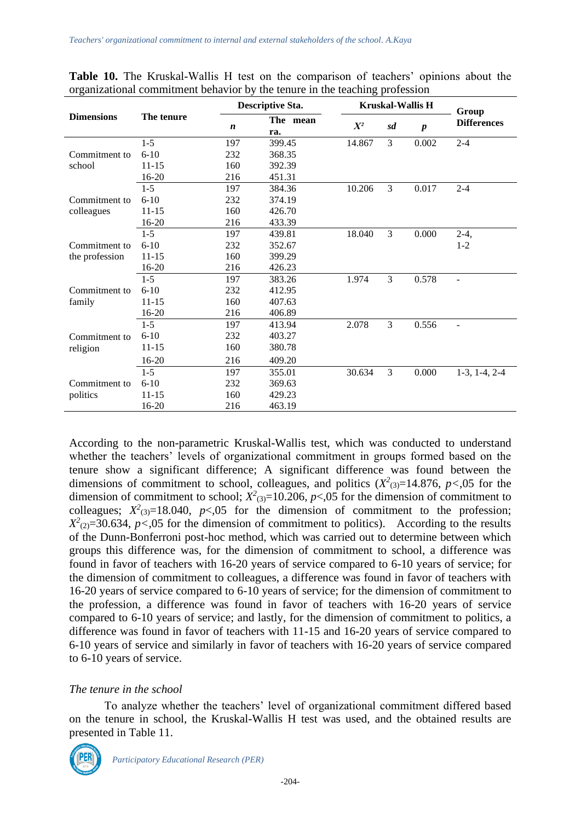|                   |            |                  | <b>Descriptive Sta.</b> |        | <b>Kruskal-Wallis H</b> | Group            |                    |
|-------------------|------------|------------------|-------------------------|--------|-------------------------|------------------|--------------------|
| <b>Dimensions</b> | The tenure | $\boldsymbol{n}$ | The mean<br>ra.         | $X^2$  | sd                      | $\boldsymbol{p}$ | <b>Differences</b> |
|                   | $1 - 5$    | 197              | 399.45                  | 14.867 | $\overline{3}$          | 0.002            | $2 - 4$            |
| Commitment to     | $6 - 10$   | 232              | 368.35                  |        |                         |                  |                    |
| school            | $11 - 15$  | 160              | 392.39                  |        |                         |                  |                    |
|                   | 16-20      | 216              | 451.31                  |        |                         |                  |                    |
|                   | $1 - 5$    | 197              | 384.36                  | 10.206 | 3                       | 0.017            | $2 - 4$            |
| Commitment to     | $6 - 10$   | 232              | 374.19                  |        |                         |                  |                    |
| colleagues        | $11 - 15$  | 160              | 426.70                  |        |                         |                  |                    |
|                   | $16 - 20$  | 216              | 433.39                  |        |                         |                  |                    |
|                   | $1 - 5$    | 197              | 439.81                  | 18.040 | 3                       | 0.000            | $2-4,$             |
| Commitment to     | $6 - 10$   | 232              | 352.67                  |        |                         |                  | $1 - 2$            |
| the profession    | $11 - 15$  | 160              | 399.29                  |        |                         |                  |                    |
|                   | 16-20      | 216              | 426.23                  |        |                         |                  |                    |
|                   | $1 - 5$    | 197              | 383.26                  | 1.974  | 3                       | 0.578            | $\blacksquare$     |
| Commitment to     | $6 - 10$   | 232              | 412.95                  |        |                         |                  |                    |
| family            | $11 - 15$  | 160              | 407.63                  |        |                         |                  |                    |
|                   | 16-20      | 216              | 406.89                  |        |                         |                  |                    |
|                   | $1 - 5$    | 197              | 413.94                  | 2.078  | 3                       | 0.556            | $\overline{a}$     |
| Commitment to     | $6 - 10$   | 232              | 403.27                  |        |                         |                  |                    |
| religion          | $11 - 15$  | 160              | 380.78                  |        |                         |                  |                    |
|                   | 16-20      | 216              | 409.20                  |        |                         |                  |                    |
|                   | $1 - 5$    | 197              | 355.01                  | 30.634 | 3                       | 0.000            | $1-3, 1-4, 2-4$    |
| Commitment to     | $6 - 10$   | 232              | 369.63                  |        |                         |                  |                    |
| politics          | $11 - 15$  | 160              | 429.23                  |        |                         |                  |                    |
|                   | $16 - 20$  | 216              | 463.19                  |        |                         |                  |                    |

**Table 10.** The Kruskal-Wallis H test on the comparison of teachers' opinions about the organizational commitment behavior by the tenure in the teaching profession

According to the non-parametric Kruskal-Wallis test, which was conducted to understand whether the teachers' levels of organizational commitment in groups formed based on the tenure show a significant difference; A significant difference was found between the dimensions of commitment to school, colleagues, and politics  $(X^2_{(3)}=14.876, p<0.05$  for the dimension of commitment to school;  $X^2_{(3)}$ =10.206,  $p$ <,05 for the dimension of commitment to colleagues;  $X^2$ <sub>(3)</sub>=18.040, *p*<,05 for the dimension of commitment to the profession;  $X^2_{(2)}=30.634$ ,  $p<0.05$  for the dimension of commitment to politics). According to the results of the Dunn-Bonferroni post-hoc method, which was carried out to determine between which groups this difference was, for the dimension of commitment to school, a difference was found in favor of teachers with 16-20 years of service compared to 6-10 years of service; for the dimension of commitment to colleagues, a difference was found in favor of teachers with 16-20 years of service compared to 6-10 years of service; for the dimension of commitment to the profession, a difference was found in favor of teachers with 16-20 years of service compared to 6-10 years of service; and lastly, for the dimension of commitment to politics, a difference was found in favor of teachers with 11-15 and 16-20 years of service compared to 6-10 years of service and similarly in favor of teachers with 16-20 years of service compared to 6-10 years of service.

### *The tenure in the school*

To analyze whether the teachers' level of organizational commitment differed based on the tenure in school, the Kruskal-Wallis H test was used, and the obtained results are presented in Table 11.

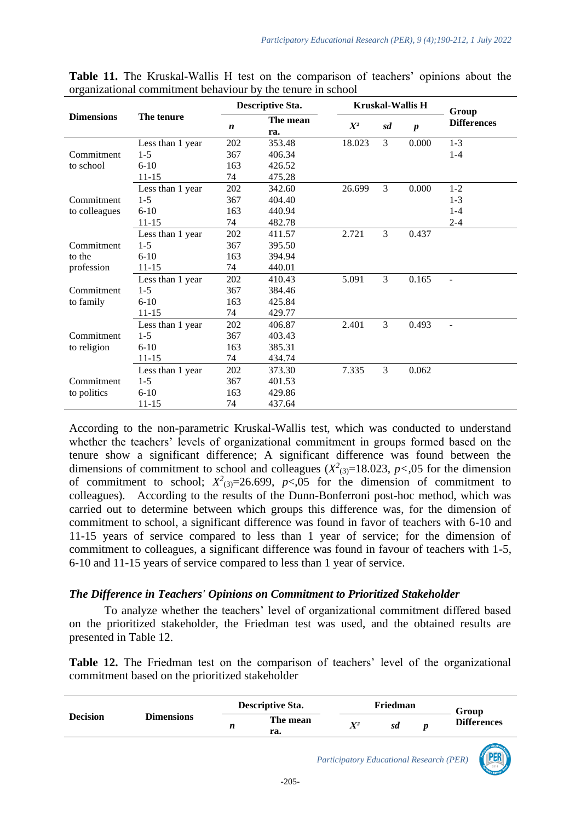|                   | The tenure       | <b>Descriptive Sta.</b> |                 | <b>Kruskal-Wallis H</b> |               |                  | Group              |
|-------------------|------------------|-------------------------|-----------------|-------------------------|---------------|------------------|--------------------|
| <b>Dimensions</b> |                  | $\boldsymbol{n}$        | The mean<br>ra. | $X^2$                   | sd            | $\boldsymbol{p}$ | <b>Differences</b> |
|                   | Less than 1 year | 202                     | 353.48          | 18.023                  | 3             | 0.000            | $1 - 3$            |
| Commitment        | $1 - 5$          | 367                     | 406.34          |                         |               |                  | $1 - 4$            |
| to school         | $6-10$           | 163                     | 426.52          |                         |               |                  |                    |
|                   | $11 - 15$        | 74                      | 475.28          |                         |               |                  |                    |
|                   | Less than 1 year | 202                     | 342.60          | 26.699                  | 3             | 0.000            | $1 - 2$            |
| Commitment        | $1 - 5$          | 367                     | 404.40          |                         |               |                  | $1 - 3$            |
| to colleagues     | $6 - 10$         | 163                     | 440.94          |                         |               |                  | $1 - 4$            |
|                   | $11 - 15$        | 74                      | 482.78          |                         |               |                  | $2 - 4$            |
|                   | Less than 1 year | 202                     | 411.57          | 2.721                   | 3             | 0.437            |                    |
| Commitment        | $1 - 5$          | 367                     | 395.50          |                         |               |                  |                    |
| to the            | $6-10$           | 163                     | 394.94          |                         |               |                  |                    |
| profession        | $11 - 15$        | 74                      | 440.01          |                         |               |                  |                    |
|                   | Less than 1 year | 202                     | 410.43          | 5.091                   | 3             | 0.165            |                    |
| Commitment        | $1 - 5$          | 367                     | 384.46          |                         |               |                  |                    |
| to family         | $6 - 10$         | 163                     | 425.84          |                         |               |                  |                    |
|                   | $11 - 15$        | 74                      | 429.77          |                         |               |                  |                    |
|                   | Less than 1 year | 202                     | 406.87          | 2.401                   | $\mathcal{E}$ | 0.493            | $\overline{a}$     |
| Commitment        | $1 - 5$          | 367                     | 403.43          |                         |               |                  |                    |
| to religion       | $6 - 10$         | 163                     | 385.31          |                         |               |                  |                    |
|                   | $11 - 15$        | 74                      | 434.74          |                         |               |                  |                    |
|                   | Less than 1 year | 202                     | 373.30          | 7.335                   | 3             | 0.062            |                    |
| Commitment        | $1-5$            | 367                     | 401.53          |                         |               |                  |                    |
| to politics       | $6 - 10$         | 163                     | 429.86          |                         |               |                  |                    |
|                   | $11 - 15$        | 74                      | 437.64          |                         |               |                  |                    |

**Table 11.** The Kruskal-Wallis H test on the comparison of teachers' opinions about the organizational commitment behaviour by the tenure in school

According to the non-parametric Kruskal-Wallis test, which was conducted to understand whether the teachers' levels of organizational commitment in groups formed based on the tenure show a significant difference; A significant difference was found between the dimensions of commitment to school and colleagues  $(X^2_{(3)}=18.023, p<0.05$  for the dimension of commitment to school;  $X^2_{(3)}=26.699$ ,  $p<0.05$  for the dimension of commitment to colleagues). According to the results of the Dunn-Bonferroni post-hoc method, which was carried out to determine between which groups this difference was, for the dimension of commitment to school, a significant difference was found in favor of teachers with 6-10 and 11-15 years of service compared to less than 1 year of service; for the dimension of commitment to colleagues, a significant difference was found in favour of teachers with 1-5, 6-10 and 11-15 years of service compared to less than 1 year of service.

#### *The Difference in Teachers' Opinions on Commitment to Prioritized Stakeholder*

To analyze whether the teachers' level of organizational commitment differed based on the prioritized stakeholder, the Friedman test was used, and the obtained results are presented in Table 12.

**Table 12.** The Friedman test on the comparison of teachers' level of the organizational commitment based on the prioritized stakeholder

|                 | <b>Dimensions</b> | <b>Descriptive Sta.</b> |                 | Friedman       |    |  | Group              |
|-----------------|-------------------|-------------------------|-----------------|----------------|----|--|--------------------|
| <b>Decision</b> |                   |                         | The mean<br>ra. | $\mathbf{X}^2$ | sd |  | <b>Differences</b> |

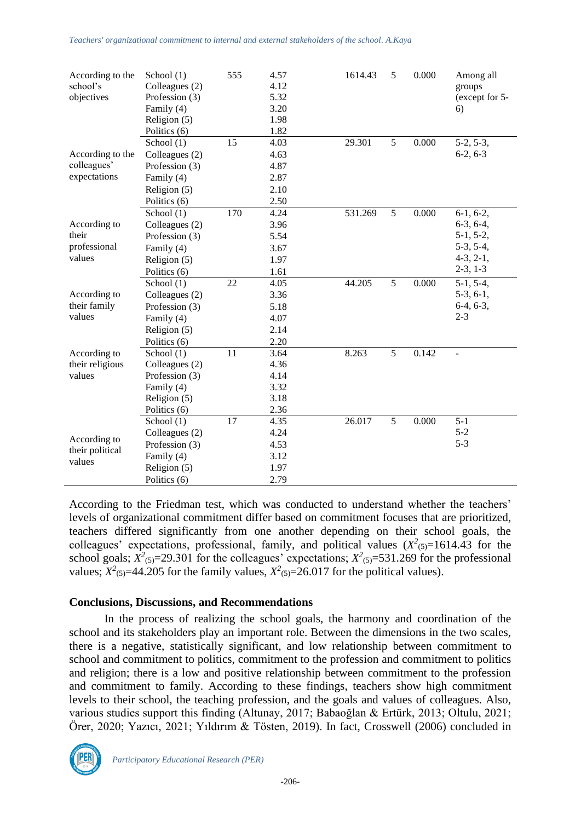*Teachers' organizational commitment to internal and external stakeholders of the school. A.Kaya*

| According to the                          | School $(1)$   | 555 | 4.57 | 1614.43 | 5 | 0.000 | Among all      |
|-------------------------------------------|----------------|-----|------|---------|---|-------|----------------|
| school's                                  | Colleagues (2) |     | 4.12 |         |   |       | groups         |
| objectives                                | Profession (3) |     | 5.32 |         |   |       | (except for 5- |
|                                           | Family (4)     |     | 3.20 |         |   |       | 6)             |
|                                           | Religion (5)   |     | 1.98 |         |   |       |                |
|                                           | Politics (6)   |     | 1.82 |         |   |       |                |
|                                           | School (1)     | 15  | 4.03 | 29.301  | 5 | 0.000 | $5-2, 5-3,$    |
| According to the                          | Colleagues (2) |     | 4.63 |         |   |       | $6-2, 6-3$     |
| colleagues'                               | Profession (3) |     | 4.87 |         |   |       |                |
| expectations                              | Family (4)     |     | 2.87 |         |   |       |                |
|                                           | Religion (5)   |     | 2.10 |         |   |       |                |
|                                           | Politics (6)   |     | 2.50 |         |   |       |                |
|                                           | School (1)     | 170 | 4.24 | 531.269 | 5 | 0.000 | $6-1, 6-2,$    |
| According to                              | Colleagues (2) |     | 3.96 |         |   |       | $6-3, 6-4,$    |
| their                                     | Profession (3) |     | 5.54 |         |   |       | $5-1, 5-2,$    |
| professional                              | Family (4)     |     | 3.67 |         |   |       | $5-3, 5-4,$    |
| values                                    | Religion (5)   |     | 1.97 |         |   |       | $4-3, 2-1,$    |
|                                           | Politics (6)   |     | 1.61 |         |   |       | $2-3, 1-3$     |
|                                           | School (1)     | 22  | 4.05 | 44.205  | 5 | 0.000 | $5-1, 5-4,$    |
| According to                              | Colleagues (2) |     | 3.36 |         |   |       | $5-3, 6-1,$    |
| their family                              | Profession (3) |     | 5.18 |         |   |       | $6-4, 6-3,$    |
| values                                    | Family (4)     |     | 4.07 |         |   |       | $2 - 3$        |
|                                           | Religion (5)   |     | 2.14 |         |   |       |                |
|                                           | Politics (6)   |     | 2.20 |         |   |       |                |
| According to                              | School (1)     | 11  | 3.64 | 8.263   | 5 | 0.142 |                |
| their religious                           | Colleagues (2) |     | 4.36 |         |   |       |                |
| values                                    | Profession (3) |     | 4.14 |         |   |       |                |
|                                           | Family (4)     |     | 3.32 |         |   |       |                |
|                                           | Religion (5)   |     | 3.18 |         |   |       |                |
|                                           | Politics (6)   |     | 2.36 |         |   |       |                |
| According to<br>their political<br>values | School (1)     | 17  | 4.35 | 26.017  | 5 | 0.000 | $5 - 1$        |
|                                           | Colleagues (2) |     | 4.24 |         |   |       | $5 - 2$        |
|                                           | Profession (3) |     | 4.53 |         |   |       | $5 - 3$        |
|                                           | Family (4)     |     | 3.12 |         |   |       |                |
|                                           | Religion (5)   |     | 1.97 |         |   |       |                |
|                                           | Politics (6)   |     | 2.79 |         |   |       |                |

According to the Friedman test, which was conducted to understand whether the teachers' levels of organizational commitment differ based on commitment focuses that are prioritized, teachers differed significantly from one another depending on their school goals, the colleagues' expectations, professional, family, and political values  $(X^2_{(5)}=1614.43$  for the school goals;  $X^2$ <sub>(5)</sub>=29.301 for the colleagues' expectations;  $X^2$ <sub>(5)</sub>=531.269 for the professional values;  $X^2_{(5)}$ =44.205 for the family values,  $X^2_{(5)}$ =26.017 for the political values).

#### **Conclusions, Discussions, and Recommendations**

In the process of realizing the school goals, the harmony and coordination of the school and its stakeholders play an important role. Between the dimensions in the two scales, there is a negative, statistically significant, and low relationship between commitment to school and commitment to politics, commitment to the profession and commitment to politics and religion; there is a low and positive relationship between commitment to the profession and commitment to family. According to these findings, teachers show high commitment levels to their school, the teaching profession, and the goals and values of colleagues. Also, various studies support this finding (Altunay, 2017; Babaoğlan & Ertürk, 2013; Oltulu, 2021; Örer, 2020; Yazıcı, 2021; Yıldırım & Tösten, 2019). In fact, Crosswell (2006) concluded in

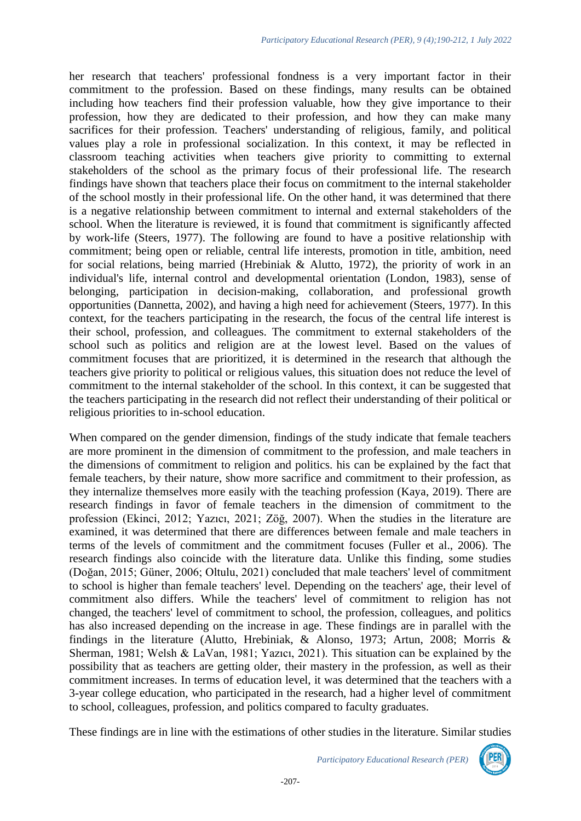her research that teachers' professional fondness is a very important factor in their commitment to the profession. Based on these findings, many results can be obtained including how teachers find their profession valuable, how they give importance to their profession, how they are dedicated to their profession, and how they can make many sacrifices for their profession. Teachers' understanding of religious, family, and political values play a role in professional socialization. In this context, it may be reflected in classroom teaching activities when teachers give priority to committing to external stakeholders of the school as the primary focus of their professional life. The research findings have shown that teachers place their focus on commitment to the internal stakeholder of the school mostly in their professional life. On the other hand, it was determined that there is a negative relationship between commitment to internal and external stakeholders of the school. When the literature is reviewed, it is found that commitment is significantly affected by work-life (Steers, 1977). The following are found to have a positive relationship with commitment; being open or reliable, central life interests, promotion in title, ambition, need for social relations, being married (Hrebiniak & Alutto, 1972), the priority of work in an individual's life, internal control and developmental orientation (London, 1983), sense of belonging, participation in decision-making, collaboration, and professional growth opportunities (Dannetta, 2002), and having a high need for achievement (Steers, 1977). In this context, for the teachers participating in the research, the focus of the central life interest is their school, profession, and colleagues. The commitment to external stakeholders of the school such as politics and religion are at the lowest level. Based on the values of commitment focuses that are prioritized, it is determined in the research that although the teachers give priority to political or religious values, this situation does not reduce the level of commitment to the internal stakeholder of the school. In this context, it can be suggested that the teachers participating in the research did not reflect their understanding of their political or religious priorities to in-school education.

When compared on the gender dimension, findings of the study indicate that female teachers are more prominent in the dimension of commitment to the profession, and male teachers in the dimensions of commitment to religion and politics. his can be explained by the fact that female teachers, by their nature, show more sacrifice and commitment to their profession, as they internalize themselves more easily with the teaching profession (Kaya, 2019). There are research findings in favor of female teachers in the dimension of commitment to the profession (Ekinci, 2012; Yazıcı, 2021; Zöğ, 2007). When the studies in the literature are examined, it was determined that there are differences between female and male teachers in terms of the levels of commitment and the commitment focuses (Fuller et al., 2006). The research findings also coincide with the literature data. Unlike this finding, some studies (Doğan, 2015; Güner, 2006; Oltulu, 2021) concluded that male teachers' level of commitment to school is higher than female teachers' level. Depending on the teachers' age, their level of commitment also differs. While the teachers' level of commitment to religion has not changed, the teachers' level of commitment to school, the profession, colleagues, and politics has also increased depending on the increase in age. These findings are in parallel with the findings in the literature (Alutto, Hrebiniak, & Alonso, 1973; Artun, 2008; Morris & Sherman, 1981; Welsh & LaVan, 1981; Yazıcı, 2021). This situation can be explained by the possibility that as teachers are getting older, their mastery in the profession, as well as their commitment increases. In terms of education level, it was determined that the teachers with a 3-year college education, who participated in the research, had a higher level of commitment to school, colleagues, profession, and politics compared to faculty graduates.

These findings are in line with the estimations of other studies in the literature. Similar studies

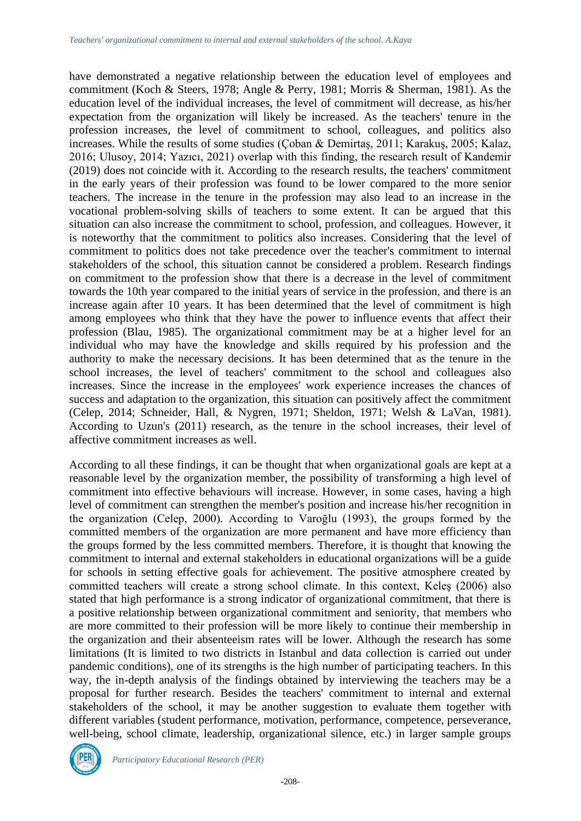have demonstrated a negative relationship between the education level of employees and commitment (Koch & Steers, 1978; Angle & Perry, 1981; Morris & Sherman, 1981). As the education level of the individual increases, the level of commitment will decrease, as his/her expectation from the organization will likely be increased. As the teachers' tenure in the profession increases, the level of commitment to school, colleagues, and politics also increases. While the results of some studies (Çoban & Demirtaş, 2011; Karakuş, 2005; Kalaz, 2016; Ulusoy, 2014; Yazıcı, 2021) overlap with this finding, the research result of Kandemir (2019) does not coincide with it. According to the research results, the teachers' commitment in the early years of their profession was found to be lower compared to the more senior teachers. The increase in the tenure in the profession may also lead to an increase in the vocational problem-solving skills of teachers to some extent. It can be argued that this situation can also increase the commitment to school, profession, and colleagues. However, it is noteworthy that the commitment to politics also increases. Considering that the level of commitment to politics does not take precedence over the teacher's commitment to internal stakeholders of the school, this situation cannot be considered a problem. Research findings on commitment to the profession show that there is a decrease in the level of commitment towards the 10th year compared to the initial years of service in the profession, and there is an increase again after 10 years. It has been determined that the level of commitment is high among employees who think that they have the power to influence events that affect their profession (Blau, 1985). The organizational commitment may be at a higher level for an individual who may have the knowledge and skills required by his profession and the authority to make the necessary decisions. It has been determined that as the tenure in the school increases, the level of teachers' commitment to the school and colleagues also increases. Since the increase in the employees' work experience increases the chances of success and adaptation to the organization, this situation can positively affect the commitment (Celep, 2014; Schneider, Hall, & Nygren, 1971; Sheldon, 1971; Welsh & LaVan, 1981). According to Uzun's (2011) research, as the tenure in the school increases, their level of affective commitment increases as well.

According to all these findings, it can be thought that when organizational goals are kept at a reasonable level by the organization member, the possibility of transforming a high level of commitment into effective behaviours will increase. However, in some cases, having a high level of commitment can strengthen the member's position and increase his/her recognition in the organization (Celep, 2000). According to Varoğlu (1993), the groups formed by the committed members of the organization are more permanent and have more efficiency than the groups formed by the less committed members. Therefore, it is thought that knowing the commitment to internal and external stakeholders in educational organizations will be a guide for schools in setting effective goals for achievement. The positive atmosphere created by committed teachers will create a strong school climate. In this context, Keleş (2006) also stated that high performance is a strong indicator of organizational commitment, that there is a positive relationship between organizational commitment and seniority, that members who are more committed to their profession will be more likely to continue their membership in the organization and their absenteeism rates will be lower. Although the research has some limitations (It is limited to two districts in Istanbul and data collection is carried out under pandemic conditions), one of its strengths is the high number of participating teachers. In this way, the in-depth analysis of the findings obtained by interviewing the teachers may be a proposal for further research. Besides the teachers' commitment to internal and external stakeholders of the school, it may be another suggestion to evaluate them together with different variables (student performance, motivation, performance, competence, perseverance, well-being, school climate, leadership, organizational silence, etc.) in larger sample groups

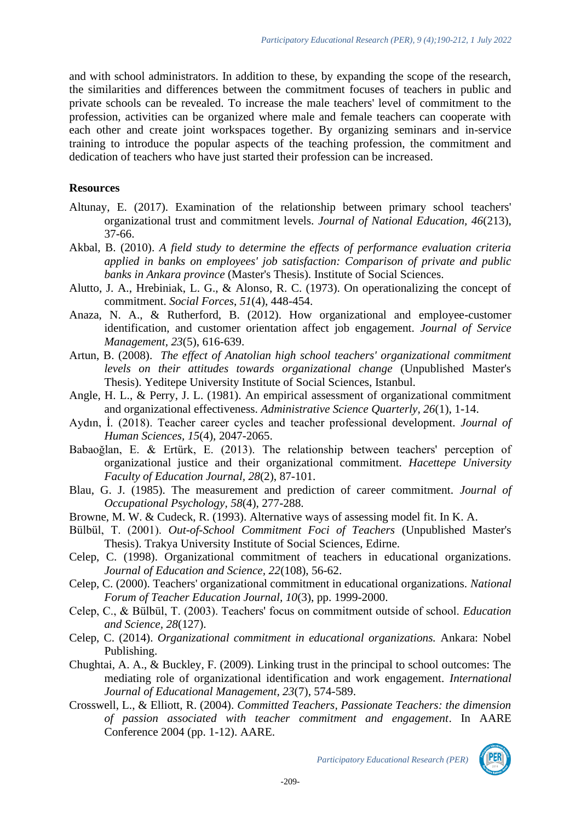and with school administrators. In addition to these, by expanding the scope of the research, the similarities and differences between the commitment focuses of teachers in public and private schools can be revealed. To increase the male teachers' level of commitment to the profession, activities can be organized where male and female teachers can cooperate with each other and create joint workspaces together. By organizing seminars and in-service training to introduce the popular aspects of the teaching profession, the commitment and dedication of teachers who have just started their profession can be increased.

#### **Resources**

- Altunay, E. (2017). Examination of the relationship between primary school teachers' organizational trust and commitment levels. *Journal of National Education, 46*(213), 37-66.
- Akbal, B. (2010). *A field study to determine the effects of performance evaluation criteria applied in banks on employees' job satisfaction: Comparison of private and public banks in Ankara province* (Master's Thesis). Institute of Social Sciences.
- Alutto, J. A., Hrebiniak, L. G., & Alonso, R. C. (1973). On operationalizing the concept of commitment. *Social Forces*, *51*(4), 448-454.
- Anaza, N. A., & Rutherford, B. (2012). How organizational and employee-customer identification, and customer orientation affect job engagement. *Journal of Service Management, 23*(5), 616-639.
- Artun, B. (2008). *The effect of Anatolian high school teachers' organizational commitment levels on their attitudes towards organizational change* (Unpublished Master's Thesis). Yeditepe University Institute of Social Sciences, Istanbul.
- Angle, H. L., & Perry, J. L. (1981). An empirical assessment of organizational commitment and organizational effectiveness. *Administrative Science Quarterly, 26*(1), 1-14.
- Aydın, İ. (2018). Teacher career cycles and teacher professional development. *Journal of Human Sciences, 15*(4), 2047-2065.
- Babaoğlan, E. & Ertürk, E. (2013). The relationship between teachers' perception of organizational justice and their organizational commitment. *Hacettepe University Faculty of Education Journal, 28*(2), 87-101.
- Blau, G. J. (1985). The measurement and prediction of career commitment. *Journal of Occupational Psychology, 58*(4), 277-288.
- Browne, M. W. & Cudeck, R. (1993). Alternative ways of assessing model fit. In K. A.
- Bülbül, T. (2001). *Out-of-School Commitment Foci of Teachers* (Unpublished Master's Thesis). Trakya University Institute of Social Sciences, Edirne.
- Celep, C. (1998). Organizational commitment of teachers in educational organizations. *Journal of Education and Science, 22*(108), 56-62.
- Celep, C. (2000). Teachers' organizational commitment in educational organizations. *National Forum of Teacher Education Journal, 10*(3), pp. 1999-2000.
- Celep, C., & Bülbül, T. (2003). Teachers' focus on commitment outside of school. *Education and Science, 28*(127).
- Celep, C. (2014). *Organizational commitment in educational organizations.* Ankara: Nobel Publishing.
- Chughtai, A. A., & Buckley, F. (2009). Linking trust in the principal to school outcomes: The mediating role of organizational identification and work engagement. *International Journal of Educational Management, 23*(7), 574-589.
- Crosswell, L., & Elliott, R. (2004). *Committed Teachers, Passionate Teachers: the dimension of passion associated with teacher commitment and engagement*. In AARE Conference 2004 (pp. 1-12). AARE.

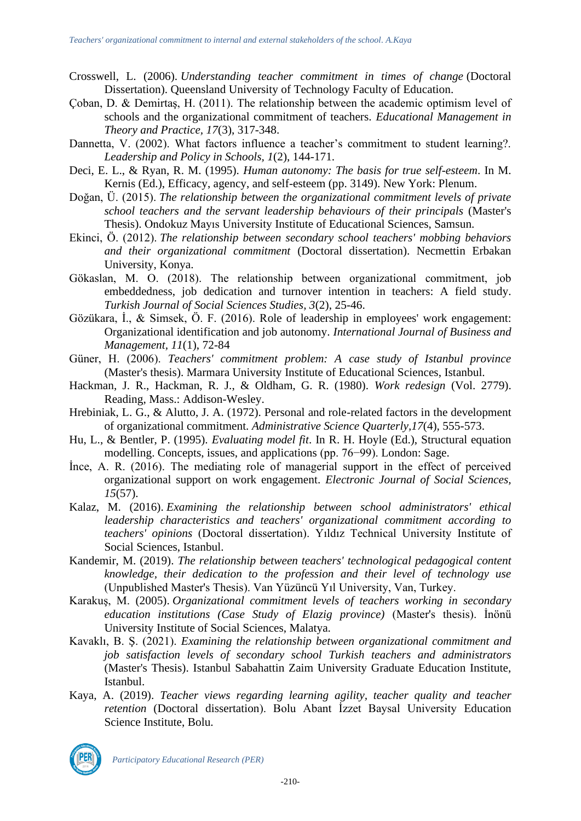- Crosswell, L. (2006). *Understanding teacher commitment in times of change* (Doctoral Dissertation). Queensland University of Technology Faculty of Education.
- Çoban, D. & Demirtaş, H. (2011). The relationship between the academic optimism level of schools and the organizational commitment of teachers. *Educational Management in Theory and Practice, 17*(3), 317-348.
- Dannetta, V. (2002). What factors influence a teacher's commitment to student learning?. *Leadership and Policy in Schools, 1*(2), 144-171.
- Deci, E. L., & Ryan, R. M. (1995). *Human autonomy: The basis for true self-esteem*. In M. Kernis (Ed.), Efficacy, agency, and self-esteem (pp. 3149). New York: Plenum.
- Doğan, Ü. (2015). *The relationship between the organizational commitment levels of private school teachers and the servant leadership behaviours of their principals* (Master's Thesis). Ondokuz Mayıs University Institute of Educational Sciences, Samsun.
- Ekinci, Ö. (2012). *The relationship between secondary school teachers' mobbing behaviors and their organizational commitment* (Doctoral dissertation). Necmettin Erbakan University, Konya.
- Gökaslan, M. O. (2018). The relationship between organizational commitment, job embeddedness, job dedication and turnover intention in teachers: A field study. *Turkish Journal of Social Sciences Studies, 3*(2), 25-46.
- Gözükara, İ., & Simsek, Ö. F. (2016). Role of leadership in employees' work engagement: Organizational identification and job autonomy. *International Journal of Business and Management, 11*(1), 72-84
- Güner, H. (2006). *Teachers' commitment problem: A case study of Istanbul province* (Master's thesis). Marmara University Institute of Educational Sciences, Istanbul.
- Hackman, J. R., Hackman, R. J., & Oldham, G. R. (1980). *Work redesign* (Vol. 2779). Reading, Mass.: Addison-Wesley.
- Hrebiniak, L. G., & Alutto, J. A. (1972). Personal and role-related factors in the development of organizational commitment. *Administrative Science Quarterly,17*(4), 555-573.
- Hu, L., & Bentler, P. (1995). *Evaluating model fit*. In R. H. Hoyle (Ed.), Structural equation modelling. Concepts, issues, and applications (pp. 76−99). London: Sage.
- İnce, A. R. (2016). The mediating role of managerial support in the effect of perceived organizational support on work engagement. *Electronic Journal of Social Sciences, 15*(57).
- Kalaz, M. (2016). *Examining the relationship between school administrators' ethical leadership characteristics and teachers' organizational commitment according to teachers' opinions* (Doctoral dissertation). Yıldız Technical University Institute of Social Sciences, Istanbul.
- Kandemir, M. (2019). *The relationship between teachers' technological pedagogical content knowledge, their dedication to the profession and their level of technology use* (Unpublished Master's Thesis). Van Yüzüncü Yıl University, Van, Turkey.
- Karakuş, M. (2005). *Organizational commitment levels of teachers working in secondary education institutions (Case Study of Elazig province)* (Master's thesis). İnönü University Institute of Social Sciences, Malatya.
- Kavaklı, B. Ş. (2021). *Examining the relationship between organizational commitment and job satisfaction levels of secondary school Turkish teachers and administrators* (Master's Thesis). Istanbul Sabahattin Zaim University Graduate Education Institute, Istanbul.
- Kaya, A. (2019). *Teacher views regarding learning agility, teacher quality and teacher retention* (Doctoral dissertation). Bolu Abant İzzet Baysal University Education Science Institute, Bolu.

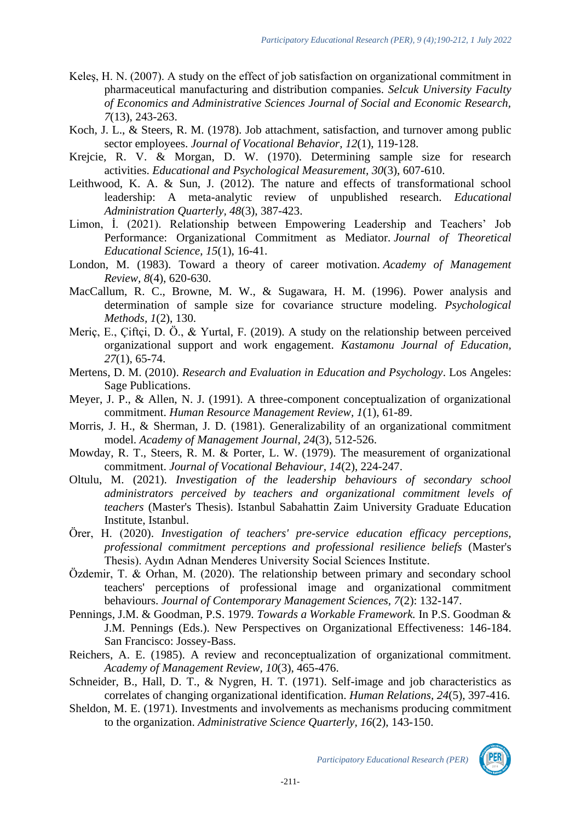- Keleş, H. N. (2007). A study on the effect of job satisfaction on organizational commitment in pharmaceutical manufacturing and distribution companies. *Selcuk University Faculty of Economics and Administrative Sciences Journal of Social and Economic Research, 7*(13), 243-263.
- Koch, J. L., & Steers, R. M. (1978). Job attachment, satisfaction, and turnover among public sector employees. *Journal of Vocational Behavior, 12*(1), 119-128.
- Krejcie, R. V. & Morgan, D. W. (1970). Determining sample size for research activities. *Educational and Psychological Measurement, 30*(3), 607-610.
- Leithwood, K. A. & Sun, J. (2012). The nature and effects of transformational school leadership: A meta-analytic review of unpublished research. *Educational Administration Quarterly, 48*(3), 387-423.
- Limon, İ. (2021). Relationship between Empowering Leadership and Teachers' Job Performance: Organizational Commitment as Mediator. *Journal of Theoretical Educational Science*, *15*(1), 16-41.
- London, M. (1983). Toward a theory of career motivation. *Academy of Management Review, 8*(4), 620-630.
- MacCallum, R. C., Browne, M. W., & Sugawara, H. M. (1996). Power analysis and determination of sample size for covariance structure modeling. *Psychological Methods, 1*(2), 130.
- Meriç, E., Çiftçi, D. Ö., & Yurtal, F. (2019). A study on the relationship between perceived organizational support and work engagement. *Kastamonu Journal of Education, 27*(1), 65-74.
- Mertens, D. M. (2010). *Research and Evaluation in Education and Psychology*. Los Angeles: Sage Publications.
- Meyer, J. P., & Allen, N. J. (1991). A three-component conceptualization of organizational commitment. *Human Resource Management Review, 1*(1), 61-89.
- Morris, J. H., & Sherman, J. D. (1981). Generalizability of an organizational commitment model. *Academy of Management Journal, 24*(3), 512-526.
- Mowday, R. T., Steers, R. M. & Porter, L. W. (1979). The measurement of organizational commitment. *Journal of Vocational Behaviour, 14*(2), 224-247.
- Oltulu, M. (2021). *Investigation of the leadership behaviours of secondary school administrators perceived by teachers and organizational commitment levels of teachers* (Master's Thesis). Istanbul Sabahattin Zaim University Graduate Education Institute, Istanbul.
- Örer, H. (2020). *Investigation of teachers' pre-service education efficacy perceptions, professional commitment perceptions and professional resilience beliefs* (Master's Thesis). Aydın Adnan Menderes University Social Sciences Institute.
- Özdemir, T. & Orhan, M. (2020). The relationship between primary and secondary school teachers' perceptions of professional image and organizational commitment behaviours. *Journal of Contemporary Management Sciences, 7*(2): 132-147.
- Pennings, J.M. & Goodman, P.S. 1979. *Towards a Workable Framework.* In P.S. Goodman & J.M. Pennings (Eds.). New Perspectives on Organizational Effectiveness: 146-184. San Francisco: Jossey-Bass.
- Reichers, A. E. (1985). A review and reconceptualization of organizational commitment. *Academy of Management Review, 10*(3), 465-476.
- Schneider, B., Hall, D. T., & Nygren, H. T. (1971). Self-image and job characteristics as correlates of changing organizational identification. *Human Relations, 24*(5), 397-416.
- Sheldon, M. E. (1971). Investments and involvements as mechanisms producing commitment to the organization. *Administrative Science Quarterly, 16*(2), 143-150.